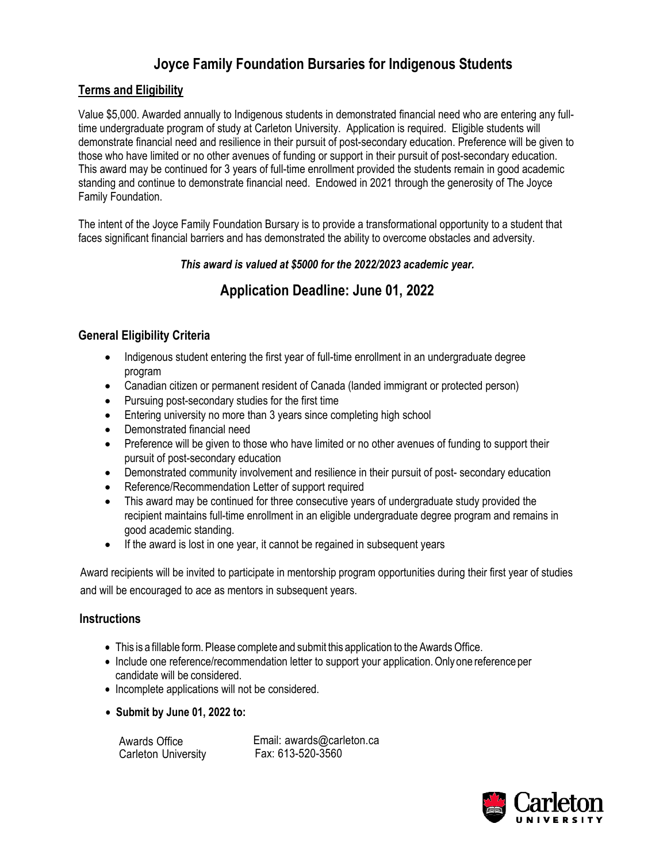# **Joyce Family Foundation Bursaries for Indigenous Students**

## **Terms and Eligibility**

Value \$5,000. Awarded annually to Indigenous students in demonstrated financial need who are entering any fulltime undergraduate program of study at Carleton University. Application is required. Eligible students will demonstrate financial need and resilience in their pursuit of post-secondary education. Preference will be given to those who have limited or no other avenues of funding or support in their pursuit of post-secondary education. This award may be continued for 3 years of full-time enrollment provided the students remain in good academic standing and continue to demonstrate financial need. Endowed in 2021 through the generosity of The Joyce Family Foundation.

The intent of the Joyce Family Foundation Bursary is to provide a transformational opportunity to a student that faces significant financial barriers and has demonstrated the ability to overcome obstacles and adversity.

#### *This award is valued at \$5000 for the 2022/2023 academic year.*

# **Application Deadline: June 01, 2022**

## **General Eligibility Criteria**

- Indigenous student entering the first year of full-time enrollment in an undergraduate degree program
- Canadian citizen or permanent resident of Canada (landed immigrant or protected person)
- Pursuing post-secondary studies for the first time
- Entering university no more than 3 years since completing high school
- Demonstrated financial need
- Preference will be given to those who have limited or no other avenues of funding to support their pursuit of post-secondary education
- Demonstrated community involvement and resilience in their pursuit of post- secondary education
- Reference/Recommendation Letter of support required
- This award may be continued for three consecutive years of undergraduate study provided the recipient maintains full-time enrollment in an eligible undergraduate degree program and remains in good academic standing.
- If the award is lost in one year, it cannot be regained in subsequent years

Award recipients will be invited to participate in mentorship program opportunities during their first year of studies and will be encouraged to ace as mentors in subsequent years.

## **Instructions**

- This is a fillable form. Please complete and submit this application to the Awards Office.
- Include one reference/recommendation letter to support your application. Only one reference per candidate will be considered.
- Incomplete applications will not be considered.
- **Submit by June 01, 2022 to:**

Awards Office Carleton University

Email: awards@carleton.ca Fax: 613-520-3560

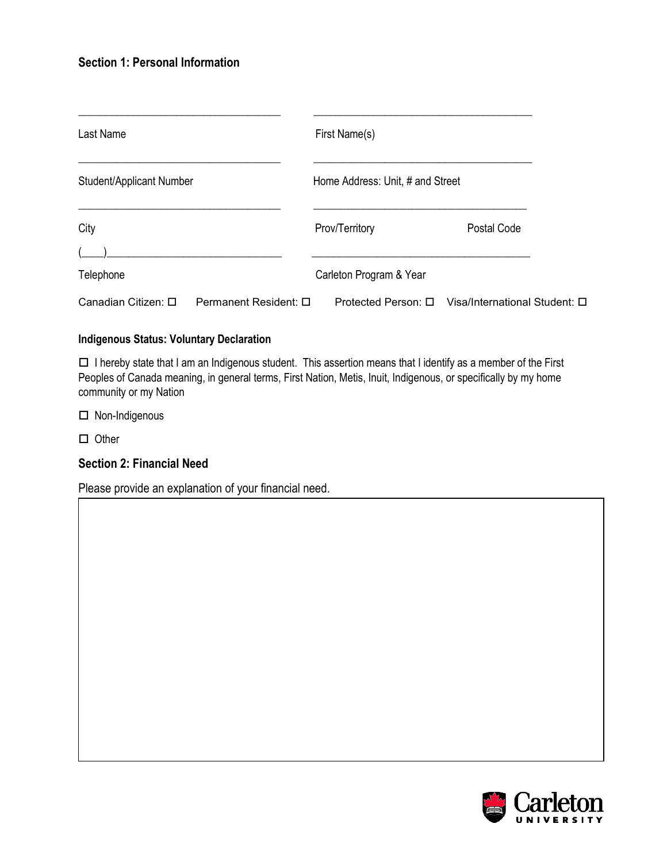### **Section 1: Personal Information**

| Last Name<br>Student/Applicant Number        |  | First Name(s)<br>Home Address: Unit, # and Street |                               |  |
|----------------------------------------------|--|---------------------------------------------------|-------------------------------|--|
|                                              |  |                                                   |                               |  |
| Telephone                                    |  | Carleton Program & Year                           |                               |  |
| Canadian Citizen: □<br>Permanent Resident: □ |  | Protected Person: □                               | Visa/International Student: □ |  |

#### **Indigenous Status: Voluntary Declaration**

 $\Box$  I hereby state that I am an Indigenous student. This assertion means that I identify as a member of the First Peoples of Canada meaning, in general terms, First Nation, Metis, Inuit, Indigenous, or specifically by my home community or my Nation

□ Non-Indigenous

 $\square$  Other

#### **Section 2: Financial Need**

Please provide an explanation of your financial need.

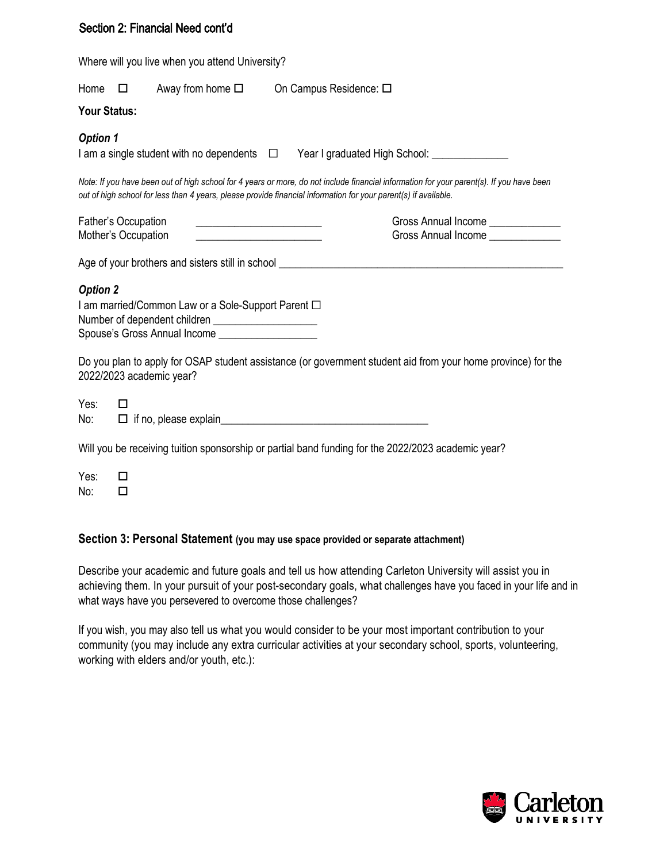#### Section 2: Financial Need cont'd

|                 | Where will you live when you attend University?                                                                                                                                                                              |                                                                                                                                                                                                                                                             |
|-----------------|------------------------------------------------------------------------------------------------------------------------------------------------------------------------------------------------------------------------------|-------------------------------------------------------------------------------------------------------------------------------------------------------------------------------------------------------------------------------------------------------------|
|                 | Home $\Box$ Away from home $\Box$                                                                                                                                                                                            | On Campus Residence: □                                                                                                                                                                                                                                      |
| Your Status:    |                                                                                                                                                                                                                              |                                                                                                                                                                                                                                                             |
| <b>Option 1</b> |                                                                                                                                                                                                                              | I am a single student with no dependents □ Year I graduated High School: ____________                                                                                                                                                                       |
|                 |                                                                                                                                                                                                                              | Note: If you have been out of high school for 4 years or more, do not include financial information for your parent(s). If you have been<br>out of high school for less than 4 years, please provide financial information for your parent(s) if available. |
|                 | Father's Occupation<br>Mother's Occupation                                                                                                                                                                                   | Gross Annual Income ______________<br>Gross Annual Income ______________                                                                                                                                                                                    |
|                 |                                                                                                                                                                                                                              | Age of your brothers and sisters still in school ________________________________                                                                                                                                                                           |
| <b>Option 2</b> | I am married/Common Law or a Sole-Support Parent □<br>Number of dependent children _______________________<br>Spouse's Gross Annual Income [1984] [1984] [1984] [1984] [1984] [1984] [1984] [1984] [1984] [1984] [1984] [198 |                                                                                                                                                                                                                                                             |
|                 | 2022/2023 academic year?                                                                                                                                                                                                     | Do you plan to apply for OSAP student assistance (or government student aid from your home province) for the                                                                                                                                                |
| Yes:<br>No:     | П                                                                                                                                                                                                                            |                                                                                                                                                                                                                                                             |
|                 |                                                                                                                                                                                                                              | Will you be receiving tuition sponsorship or partial band funding for the 2022/2023 academic year?                                                                                                                                                          |
| Yes:<br>No:     | П<br>$\Box$                                                                                                                                                                                                                  |                                                                                                                                                                                                                                                             |

#### **Section 3: Personal Statement (you may use space provided or separate attachment)**

Describe your academic and future goals and tell us how attending Carleton University will assist you in achieving them. In your pursuit of your post-secondary goals, what challenges have you faced in your life and in what ways have you persevered to overcome those challenges?

If you wish, you may also tell us what you would consider to be your most important contribution to your community (you may include any extra curricular activities at your secondary school, sports, volunteering, working with elders and/or youth, etc.):